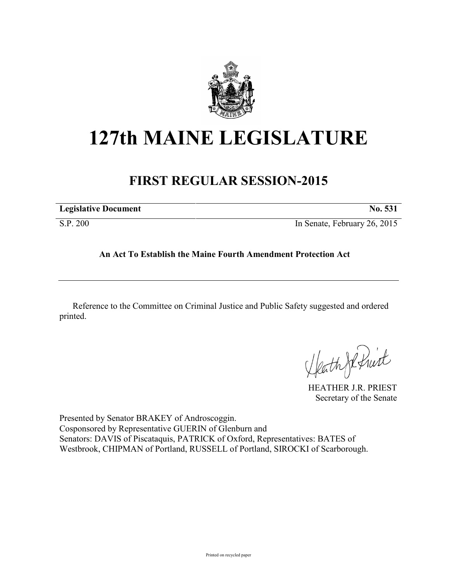

## **127th MAINE LEGISLATURE**

## **FIRST REGULAR SESSION-2015**

| <b>Legislative Document</b> | No. 531                      |
|-----------------------------|------------------------------|
| S.P. 200                    | In Senate, February 26, 2015 |

## **An Act To Establish the Maine Fourth Amendment Protection Act**

Reference to the Committee on Criminal Justice and Public Safety suggested and ordered printed.

Heath Je fruit

HEATHER J.R. PRIEST Secretary of the Senate

Presented by Senator BRAKEY of Androscoggin. Cosponsored by Representative GUERIN of Glenburn and Senators: DAVIS of Piscataquis, PATRICK of Oxford, Representatives: BATES of Westbrook, CHIPMAN of Portland, RUSSELL of Portland, SIROCKI of Scarborough.